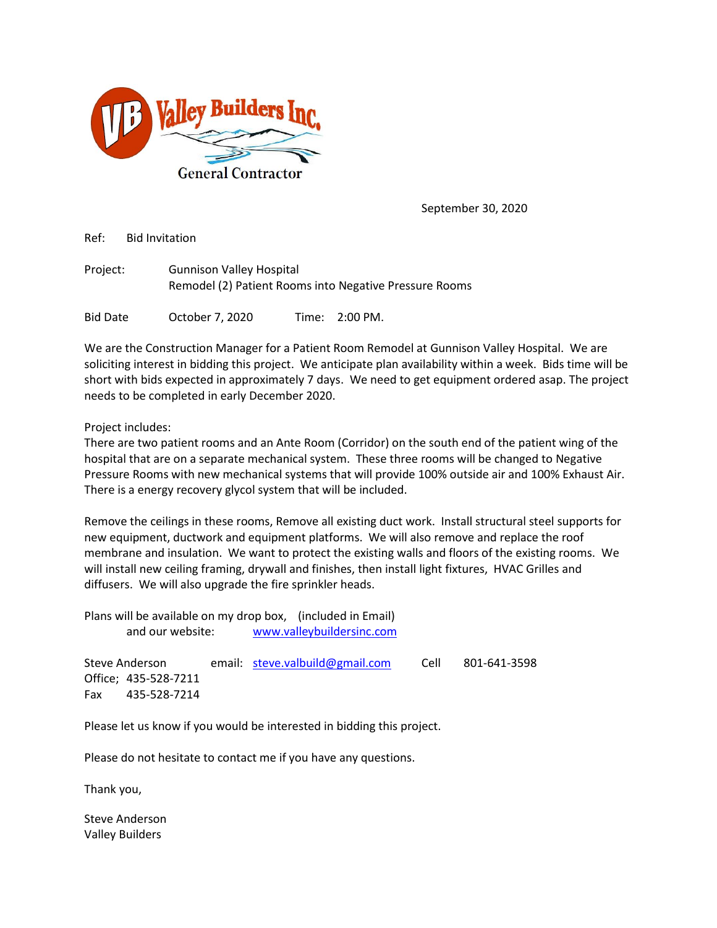

September 30, 2020

Ref: Bid Invitation

| Project: | <b>Gunnison Valley Hospital</b>                        |
|----------|--------------------------------------------------------|
|          | Remodel (2) Patient Rooms into Negative Pressure Rooms |

Bid Date October 7, 2020 Time: 2:00 PM.

We are the Construction Manager for a Patient Room Remodel at Gunnison Valley Hospital. We are soliciting interest in bidding this project. We anticipate plan availability within a week. Bids time will be short with bids expected in approximately 7 days. We need to get equipment ordered asap. The project needs to be completed in early December 2020.

Project includes:

There are two patient rooms and an Ante Room (Corridor) on the south end of the patient wing of the hospital that are on a separate mechanical system. These three rooms will be changed to Negative Pressure Rooms with new mechanical systems that will provide 100% outside air and 100% Exhaust Air. There is a energy recovery glycol system that will be included.

Remove the ceilings in these rooms, Remove all existing duct work. Install structural steel supports for new equipment, ductwork and equipment platforms. We will also remove and replace the roof membrane and insulation. We want to protect the existing walls and floors of the existing rooms. We will install new ceiling framing, drywall and finishes, then install light fixtures, HVAC Grilles and diffusers. We will also upgrade the fire sprinkler heads.

Plans will be available on my drop box, (included in Email) and our website: [www.valleybuildersinc.com](http://www.valleybuildersinc.com/)

Steve Anderson email: [steve.valbuild@gmail.com](mailto:steve.valbuild@gmail.com) Cell 801-641-3598 Office; 435-528-7211 Fax 435-528-7214

Please let us know if you would be interested in bidding this project.

Please do not hesitate to contact me if you have any questions.

Thank you,

Steve Anderson Valley Builders